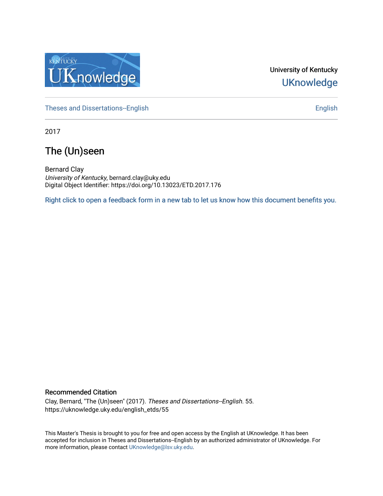

University of Kentucky **UKnowledge** 

[Theses and Dissertations--English](https://uknowledge.uky.edu/english_etds) [English](https://uknowledge.uky.edu/english) English English English

2017

# The (Un)seen

Bernard Clay University of Kentucky, bernard.clay@uky.edu Digital Object Identifier: https://doi.org/10.13023/ETD.2017.176

[Right click to open a feedback form in a new tab to let us know how this document benefits you.](https://uky.az1.qualtrics.com/jfe/form/SV_9mq8fx2GnONRfz7)

#### Recommended Citation

Clay, Bernard, "The (Un)seen" (2017). Theses and Dissertations--English. 55. https://uknowledge.uky.edu/english\_etds/55

This Master's Thesis is brought to you for free and open access by the English at UKnowledge. It has been accepted for inclusion in Theses and Dissertations--English by an authorized administrator of UKnowledge. For more information, please contact [UKnowledge@lsv.uky.edu](mailto:UKnowledge@lsv.uky.edu).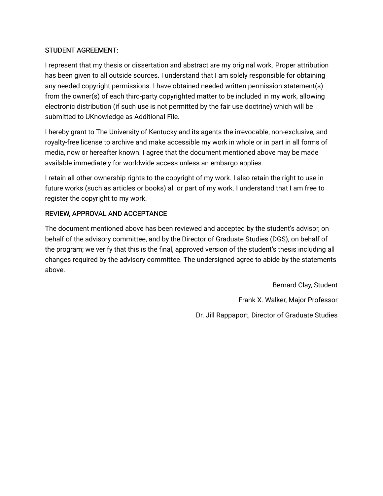## STUDENT AGREEMENT:

I represent that my thesis or dissertation and abstract are my original work. Proper attribution has been given to all outside sources. I understand that I am solely responsible for obtaining any needed copyright permissions. I have obtained needed written permission statement(s) from the owner(s) of each third-party copyrighted matter to be included in my work, allowing electronic distribution (if such use is not permitted by the fair use doctrine) which will be submitted to UKnowledge as Additional File.

I hereby grant to The University of Kentucky and its agents the irrevocable, non-exclusive, and royalty-free license to archive and make accessible my work in whole or in part in all forms of media, now or hereafter known. I agree that the document mentioned above may be made available immediately for worldwide access unless an embargo applies.

I retain all other ownership rights to the copyright of my work. I also retain the right to use in future works (such as articles or books) all or part of my work. I understand that I am free to register the copyright to my work.

## REVIEW, APPROVAL AND ACCEPTANCE

The document mentioned above has been reviewed and accepted by the student's advisor, on behalf of the advisory committee, and by the Director of Graduate Studies (DGS), on behalf of the program; we verify that this is the final, approved version of the student's thesis including all changes required by the advisory committee. The undersigned agree to abide by the statements above.

> Bernard Clay, Student Frank X. Walker, Major Professor Dr. Jill Rappaport, Director of Graduate Studies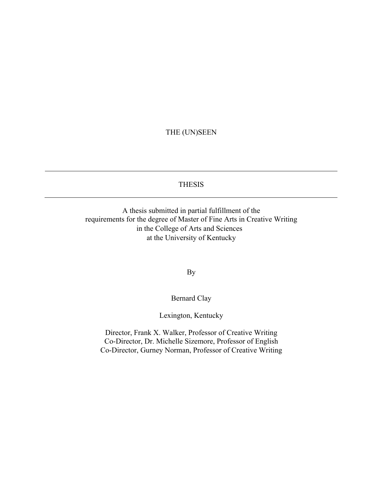## THE (UN)SEEN

#### THESIS

A thesis submitted in partial fulfillment of the requirements for the degree of Master of Fine Arts in Creative Writing in the College of Arts and Sciences at the University of Kentucky

By

Bernard Clay

Lexington, Kentucky

Director, Frank X. Walker, Professor of Creative Writing Co-Director, Dr. Michelle Sizemore, Professor of English Co-Director, Gurney Norman, Professor of Creative Writing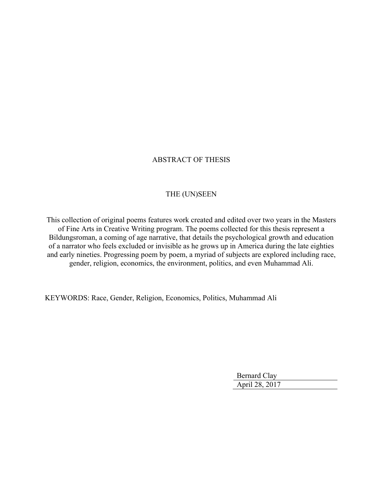## ABSTRACT OF THESIS

### THE (UN)SEEN

This collection of original poems features work created and edited over two years in the Masters of Fine Arts in Creative Writing program. The poems collected for this thesis represent a Bildungsroman, a coming of age narrative, that details the psychological growth and education of a narrator who feels excluded or invisible as he grows up in America during the late eighties and early nineties. Progressing poem by poem, a myriad of subjects are explored including race, gender, religion, economics, the environment, politics, and even Muhammad Ali.

KEYWORDS: Race, Gender, Religion, Economics, Politics, Muhammad Ali

Bernard Clay April 28, 2017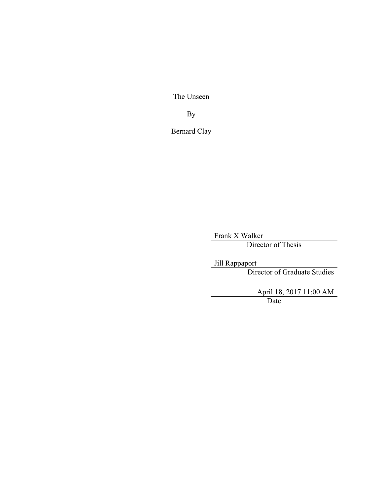The Unseen

By

Bernard Clay

Frank X Walker

Director of Thesis

Jill Rappaport Director of Graduate Studies

> April 18, 2017 11:00 AM Date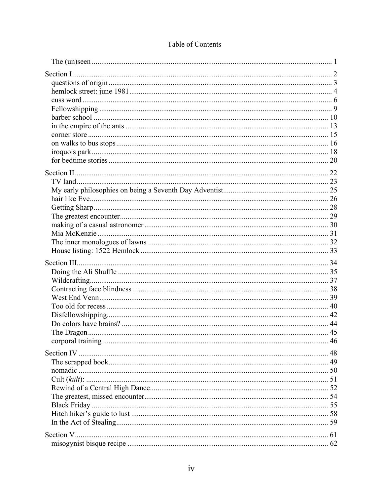| 48 |
|----|
|    |
|    |
|    |
|    |
|    |
|    |
|    |
|    |
|    |
|    |
|    |

## Table of Contents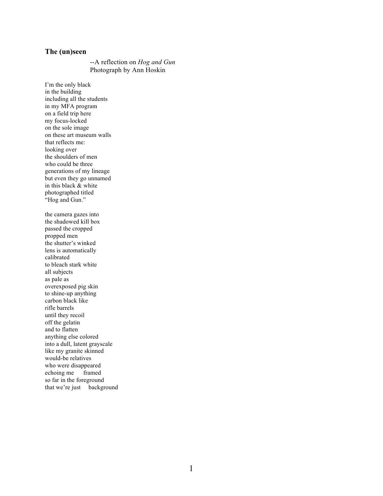#### **The (un)seen**

--A reflection on *Hog and Gun* Photograph by Ann Hoskin

I'm the only black in the building including all the students in my MFA program on a field trip here my focus-locked on the sole image on these art museum walls that reflects me: looking over the shoulders of men who could be three generations of my lineage but even they go unnamed in this black & white photographed titled "Hog and Gun." the camera gazes into the shadowed kill box passed the cropped propped men the shutter's winked lens is automatically calibrated to bleach stark white all subjects as pale as overexposed pig skin to shine-up anything carbon black like rifle barrels until they recoil off the gelatin and to flatten anything else colored into a dull, latent grayscale like my granite skinned would-be relatives who were disappeared echoing me framed so far in the foreground that we're just background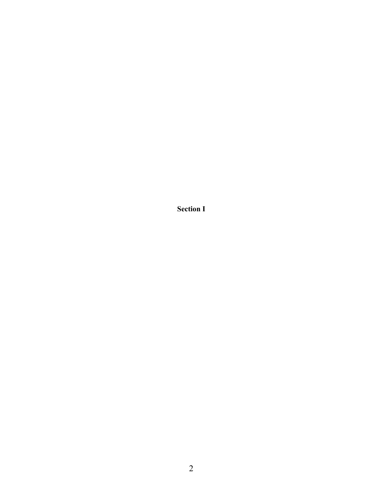**Section I**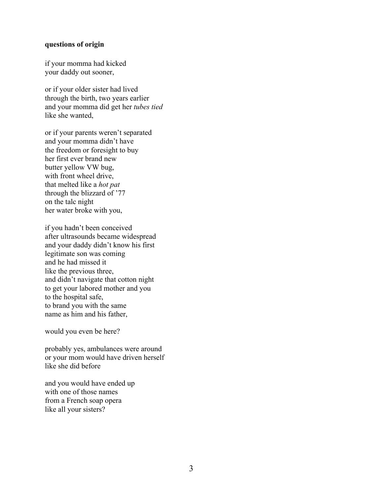#### **questions of origin**

if your momma had kicked your daddy out sooner,

or if your older sister had lived through the birth, two years earlier and your momma did get her *tubes tied*  like she wanted,

or if your parents weren't separated and your momma didn't have the freedom or foresight to buy her first ever brand new butter yellow VW bug, with front wheel drive, that melted like a *hot pat* through the blizzard of '77 on the talc night her water broke with you,

if you hadn't been conceived after ultrasounds became widespread and your daddy didn't know his first legitimate son was coming and he had missed it like the previous three, and didn't navigate that cotton night to get your labored mother and you to the hospital safe, to brand you with the same name as him and his father,

would you even be here?

probably yes, ambulances were around or your mom would have driven herself like she did before

and you would have ended up with one of those names from a French soap opera like all your sisters?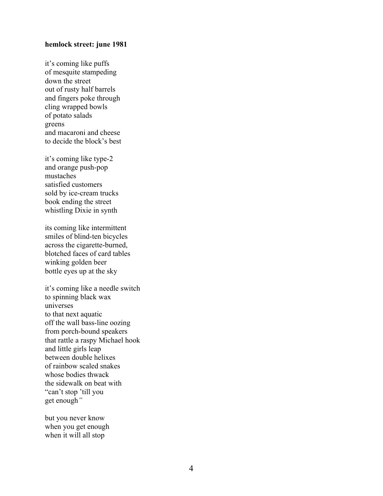#### **hemlock street: june 1981**

it's coming like puffs of mesquite stampeding down the street out of rusty half barrels and fingers poke through cling wrapped bowls of potato salads greens and macaroni and cheese to decide the block's best

it's coming like type-2 and orange push-pop mustaches satisfied customers sold by ice-cream trucks book ending the street whistling Dixie in synth

its coming like intermittent smiles of blind-ten bicycles across the cigarette-burned, blotched faces of card tables winking golden beer bottle eyes up at the sky

it's coming like a needle switch to spinning black wax universes to that next aquatic off the wall bass-line oozing from porch-bound speakers that rattle a raspy Michael hook and little girls leap between double helixes of rainbow scaled snakes whose bodies thwack the sidewalk on beat with "can't stop 'till you get enough*"*

but you never know when you get enough when it will all stop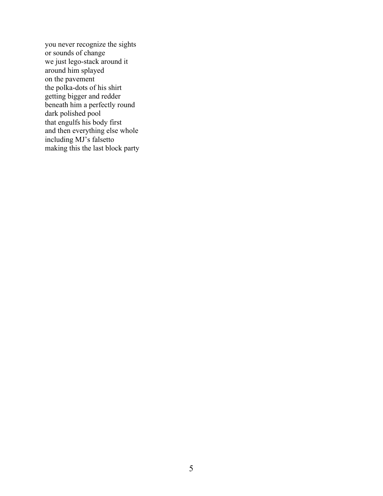you never recognize the sights or sounds of change we just lego-stack around it around him splayed on the pavement the polka-dots of his shirt getting bigger and redder beneath him a perfectly round dark polished pool that engulfs his body first and then everything else whole including MJ's falsetto making this the last block party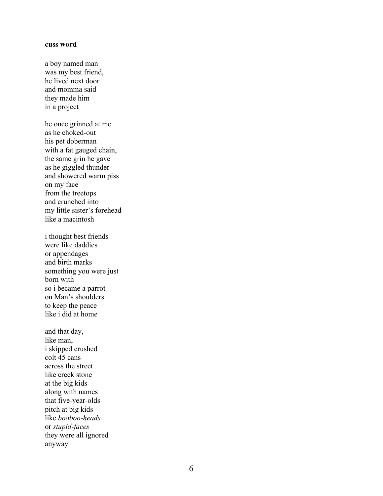#### **cuss word**

a boy named man was my best friend, he lived next door and momma said they made him in a project

he once grinned at me as he choked -out his pet doberman with a fat gauged chain, the same grin he gave as he giggled thunder and showered warm piss on my face from the treetops and crunched into my little sister 's forehead like a macintosh

i thought best friends were like daddies or appendages and birth marks something you were just born with so i became a parrot on Man's shoulders to keep the peace like i did at home

and that day, like man, i skipped crushed colt 45 cans across the street like creek stone at the big kids along with names that five -year -olds pitch at big kids like *booboo -heads* or *stupid-face s* they were all ignored anyway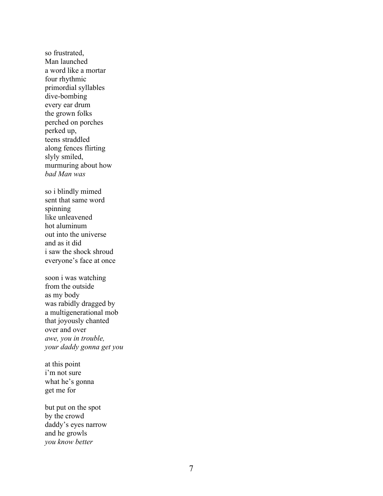so frustrated, Man launched a word like a mortar four rhythmic primordial syllables dive -bombing every ear drum the grown folks perched on porches perked up , teens straddled along fences flirting slyly smiled , murmuring about how *bad Man was*

so i blindly mimed sent that same word spinning like unleavened hot aluminum out into the universe and as it did i saw the shock shroud everyone's face at once

soon i was watching from the outside as my body was rabidly dragged by a multigenerational mob that joyously chanted over and over *awe, you in trouble, your daddy gonna get you*

at this point i'm not sure what he's gonna get me for

but put on the spot by the crowd daddy's eyes narrow and he growls *you know better*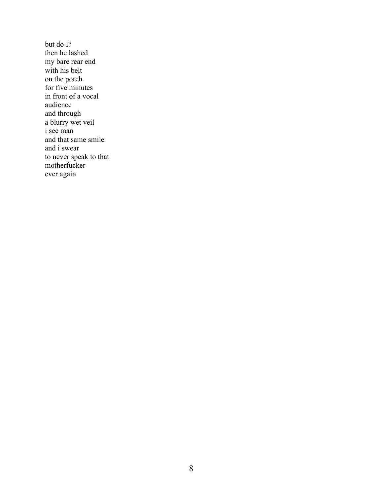but do I? then he lashed my bare rear end with his belt on the porch for five minutes in front of a vocal audience and through a blurry wet veil i see man and that same smile and i swear to never speak to that motherfucker ever again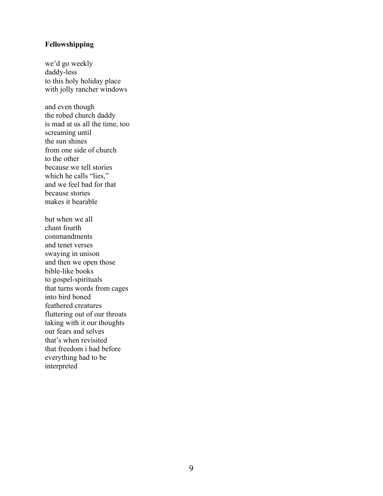## **Fellowshipping**

we'd go weekly daddy-less to this holy holiday place with jolly rancher windows

and even though the robed church daddy is mad at us all the time, too screaming until the sun shines from one side of church to the other because we tell stories which he calls "lies," and we feel bad for that because stories makes it bearable

but when we all chant fourth commandments and tenet verses swaying in unison and then we open those bible-like books to gospel-spirituals that turns words from cages into bird boned feathered creatures fluttering out of our throats taking with it our thoughts our fears and selves that's when revisited that freedom i had before everything had to be interpreted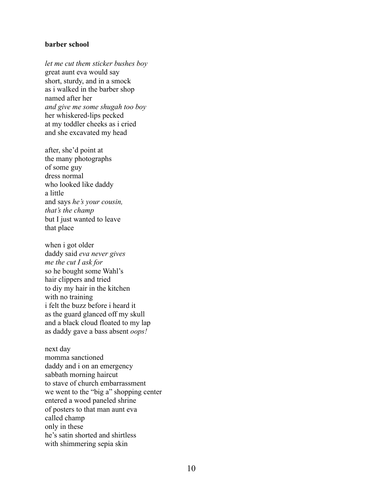#### **barber school**

*let me cut them sticker bushes boy*  great aunt eva would say short, sturdy, and in a smock as i walked in the barber shop named after her *and give me some shugah too boy* her whiskered-lips pecked at my toddler cheeks as i cried and she excavated my head

after, she'd point at the many photographs of some guy dress normal who looked like daddy a little and says *he's your cousin, that's the champ* but I just wanted to leave that place

when i got older daddy said *eva never gives me the cut I ask for* so he bought some Wahl's hair clippers and tried to diy my hair in the kitchen with no training i felt the buzz before i heard it as the guard glanced off my skull and a black cloud floated to my lap as daddy gave a bass absent *oops!*

next day momma sanctioned daddy and i on an emergency sabbath morning haircut to stave of church embarrassment we went to the "big a" shopping center entered a wood paneled shrine of posters to that man aunt eva called champ only in these he's satin shorted and shirtless with shimmering sepia skin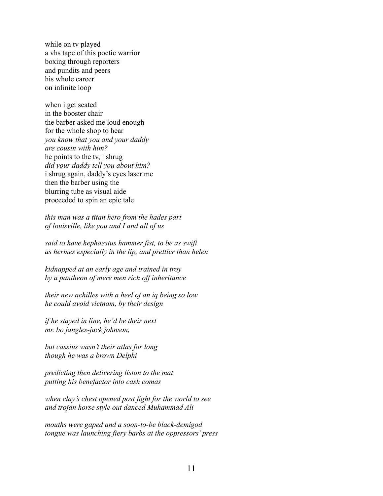while on tv played a vhs tape of this poetic warrior boxing through reporters and pundits and peers his whole career on infinite loop

when i get seated in the booster chair the barber asked me loud enough for the whole shop to hear *you know that you and your daddy are cousin with him?*  he points to the tv, i shrug *did your daddy tell you about him?* i shrug again, daddy's eyes laser me then the barber using the blurring tube as visual aide proceeded to spin an epic tale

*this man was a titan hero from the hades part of louisville, like you and I and all of us* 

*said to have hephaestus hammer fist, to be as swift as hermes especially in the lip, and prettier than helen*

*kidnapped at an early age and trained in troy by a pantheon of mere men rich off inheritance* 

*their new achilles with a heel of an iq being so low he could avoid vietnam, by their design*

*if he stayed in line, he'd be their next mr. bo jangles-jack johnson,*

*but cassius wasn't their atlas for long though he was a brown Delphi*

*predicting then delivering liston to the mat putting his benefactor into cash comas*

*when clay's chest opened post fight for the world to see and trojan horse style out danced Muhammad Ali*

*mouths were gaped and a soon-to-be black-demigod tongue was launching fiery barbs at the oppressors' press*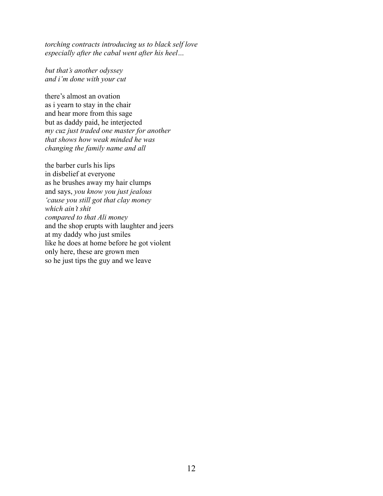*torching contracts introducing us to black self love especially after the cabal went after his heel…* 

*but that's another odyssey and i'm done with your cut*

there's almost an ovation as i yearn to stay in the chair and hear more from this sage but as daddy paid, he interjected *my cuz just traded one master for another that shows how weak minded he was changing the family name and all*

the barber curls his lips in disbelief at everyone as he brushes away my hair clumps and says, *you know you just jealous 'cause you still got that clay money which ain't shit compared to that Ali money* and the shop erupts with laughter and jeers at my daddy who just smiles like he does at home before he got violent only here, these are grown men so he just tips the guy and we leave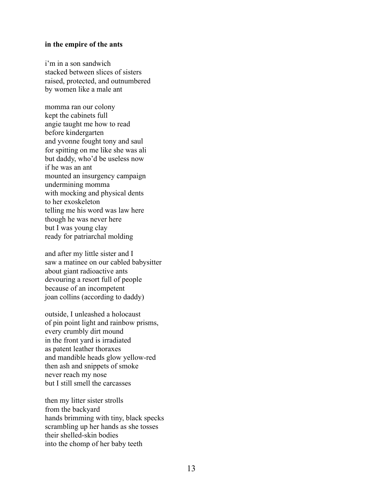#### **in the empire of the ants**

i'm in a son sandwich stacked between slices of sisters raised, protected, and outnumbered by women like a male ant

momma ran our colony kept the cabinets full angie taught me how to read before kindergarten and yvonne fought tony and saul for spitting on me like she was ali but daddy, who'd be useless now if he was an ant mounted an insurgency campaign undermining momma with mocking and physical dents to her exoskeleton telling me his word was law here though he was never here but I was young clay ready for patriarchal molding

and after my little sister and I saw a matinee on our cabled babysitter about giant radioactive ants devouring a resort full of people because of an incompetent joan collins (according to daddy)

outside, I unleashed a holocaust of pin point light and rainbow prisms, every crumbly dirt mound in the front yard is irradiated as patent leather thoraxes and mandible heads glow yellow-red then ash and snippets of smoke never reach my nose but I still smell the carcasses

then my litter sister strolls from the backyard hands brimming with tiny, black specks scrambling up her hands as she tosses their shelled-skin bodies into the chomp of her baby teeth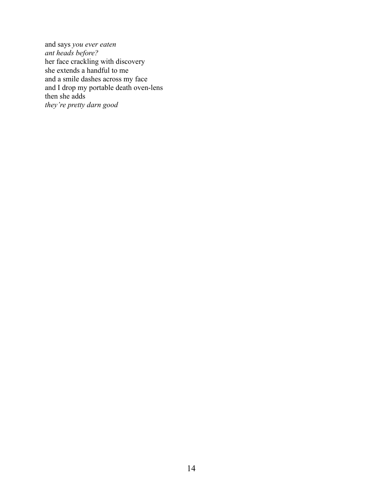and says *you ever eaten ant heads before?*  her face crackling with discovery she extends a handful to me and a smile dashes across my face and I drop my portable death oven-lens then she adds *they're pretty darn good*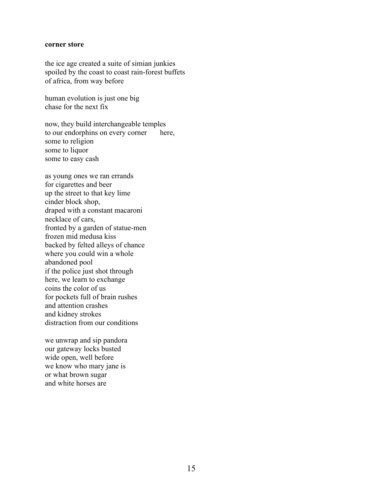#### **corner store**

the ice age created a suite of simian junkies spoiled by the coast to coast rain-forest buffets of africa, from way before

human evolution is just one big chase for the next fix

now, they build interchangeable temples to our endorphins on every corner here, some to religion some to liquor some to easy cash

as young ones we ran errands for cigarettes and beer up the street to that key lime cinder block shop, draped with a constant macaroni necklace of cars, fronted by a garden of statue-men frozen mid medusa kiss backed by felted alleys of chance where you could win a whole abandoned pool if the police just shot through here, we learn to exchange coins the color of us for pockets full of brain rushes and attention crashes and kidney strokes distraction from our conditions

we unwrap and sip pandora our gateway locks busted wide open, well before we know who mary jane is or what brown sugar and white horses are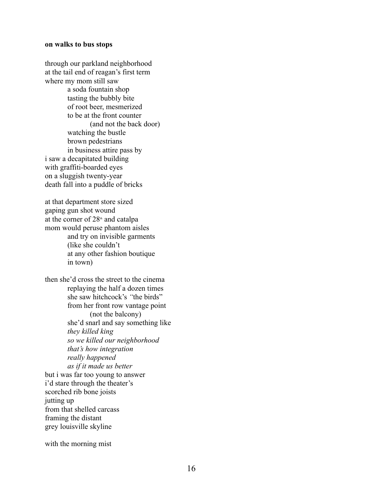#### **on walks to bus stops**

through our parkland neighborhood at the tail end of reagan's first term where my mom still saw a soda fountain shop tasting the bubbly bite of root beer, mesmerized to be at the front counter (and not the back door) watching the bustle brown pedestrians in business attire pass by i saw a decapitated building with graffiti-boarded eyes on a sluggish twenty-year death fall into a puddle of bricks

at that department store sized gaping gun shot wound at the corner of  $28<sup>th</sup>$  and catalpa mom would peruse phantom aisles and try on invisible garments (like she couldn't at any other fashion boutique in town)

then she'd cross the street to the cinema replaying the half a dozen times she saw hitchcock's *"*the birds" from her front row vantage point (not the balcony) she'd snarl and say something like *they killed king so we killed our neighborhood that's how integration really happened as if it made us better* but i was far too young to answer i'd stare through the theater's scorched rib bone joists jutting up from that shelled carcass framing the distant grey louisville skyline

with the morning mist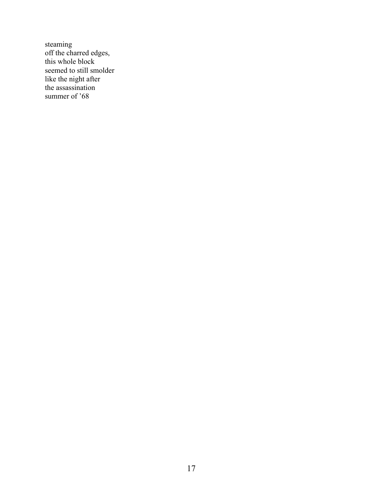steaming off the charred edges, this whole block seemed to still smolder like the night after the assassination summer of '68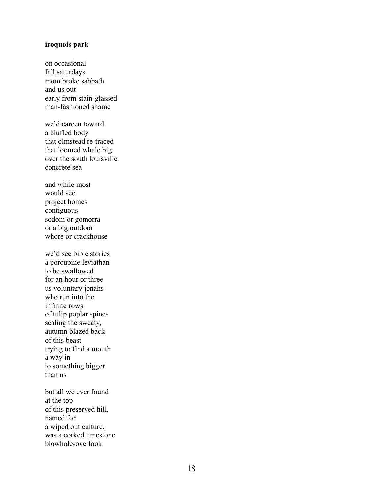#### **iroquois park**

on occasional fall saturdays mom broke sabbath and us out early from stain -glassed man -fashioned shame

we'd careen toward a bluffed body that olmstead re -traced that loomed whale big over the south louisville concrete sea

and while most would see project home s contiguous sodom or gomorra or a big outdoor whore or crackhouse

we'd see bible stories a porcupine leviathan to be swallowed for an hour or three us voluntary jonahs who run into the infinite rows of tulip poplar spines scaling the sweaty, autumn blazed back of this beast trying to find a mouth a way in to something bigger than us

but all we ever found at the top of this preserved hill, named for a wiped out culture, was a corked limestone blowhole -overlook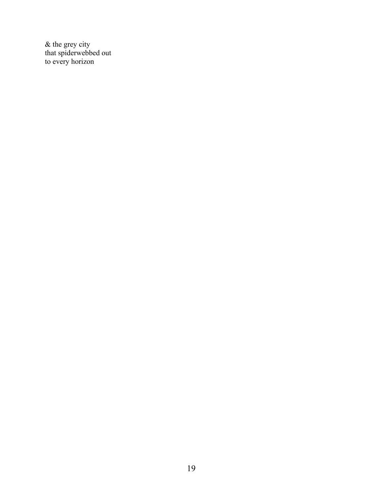& the grey city that spiderwebbed out to every horizon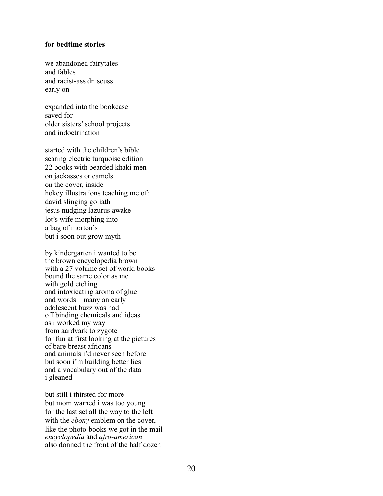#### **for bedtime stories**

we abandoned fairytales and fables and racist-ass dr. seuss early on

expanded into the bookcase saved for older sisters'school projects and indoctrination

started with the children's bible searing electric turquoise edition 22 books with bearded khaki men on jackasses or camels on the cover, inside hokey illustrations teaching me of: david slinging goliath jesus nudging lazurus awake lot's wife morphing into a bag of morton's but i soon out grow myth

by kindergarten i wanted to be the brown encyclopedia brown with a 27 volume set of world books bound the same color as me with gold etching and intoxicating aroma of glue and words—many an early adolescent buzz was had off binding chemicals and ideas as i worked my way from aardvark to zygote for fun at first looking at the pictures of bare breast africans and animals i'd never seen before but soon i'm building better lies and a vocabulary out of the data i gleaned

but still i thirsted for more but mom warned i was too young for the last set all the way to the left with the *ebony* emblem on the cover, like the photo-books we got in the mail *encyclopedia* and *afro-american*  also donned the front of the half dozen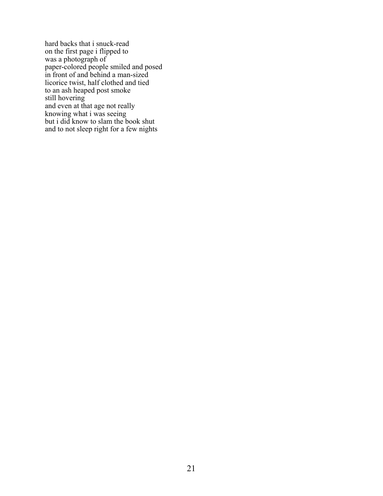hard backs that i snuck-read on the first page i flipped to was a photograph of paper-colored people smiled and posed in front of and behind a man-sized licorice twist, half clothed and tied to an ash heaped post smoke still hovering and even at that age not really knowing what i was seeing but i did know to slam the book shut and to not sleep right for a few nights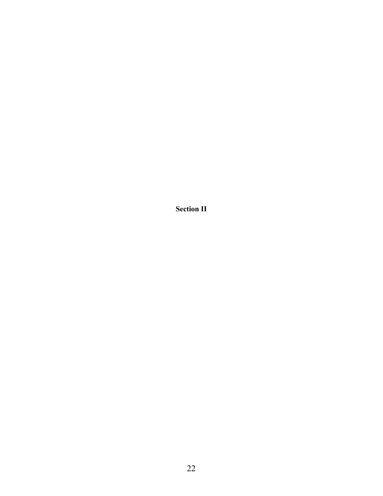**Section II**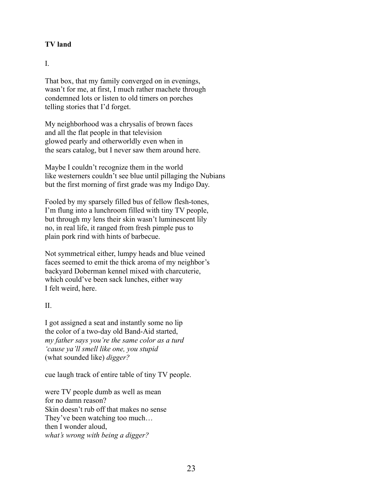## **TV land**

## I.

That box, that my family converged on in evenings, wasn't for me, at first, I much rather machete through condemned lots or listen to old timers on porches telling stories that I'd forget.

My neighborhood was a chrysalis of brown faces and all the flat people in that television glowed pearly and otherworldly even when in the sears catalog, but I never saw them around here.

Maybe I couldn't recognize them in the world like westerners couldn't see blue until pillaging the Nubians but the first morning of first grade was my Indigo Day.

Fooled by my sparsely filled bus of fellow flesh-tones, I'm flung into a lunchroom filled with tiny TV people, but through my lens their skin wasn't luminescent lily no, in real life, it ranged from fresh pimple pus to plain pork rind with hints of barbecue.

Not symmetrical either, lumpy heads and blue veined faces seemed to emit the thick aroma of my neighbor's backyard Doberman kennel mixed with charcuterie, which could've been sack lunches, either way I felt weird, here.

## $II$ .

I got assigned a seat and instantly some no lip the color of a two-day old Band-Aid started, *my father says you're the same color as a turd 'cause ya'll smell like one, you stupid* (what sounded like) *digger?* 

cue laugh track of entire table of tiny TV people.

were TV people dumb as well as mean for no damn reason? Skin doesn't rub off that makes no sense They've been watching too much… then I wonder aloud, *what's wrong with being a digger?*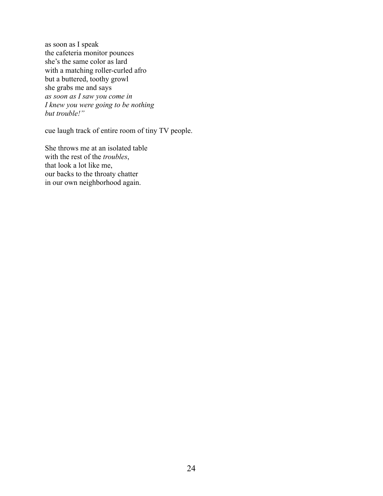as soon as I speak the cafeteria monitor pounces she's the same color as lard with a matching roller-curled afro but a buttered, toothy growl she grabs me and says *as soon as I saw you come in I knew you were going to be nothing but trouble!"*

cue laugh track of entire room of tiny TV people.

She throws me at an isolated table with the rest of the *troubles*, that look a lot like me, our backs to the throaty chatter in our own neighborhood again.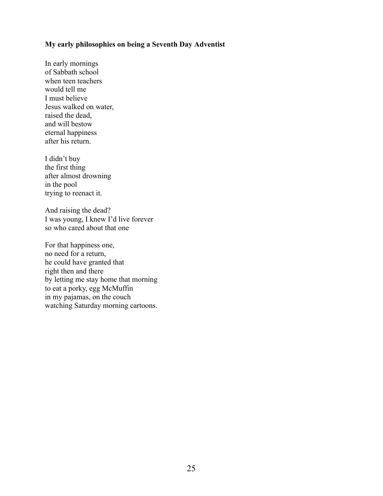#### **My early philosophies on being a Seventh Day Adventist**

In early mornings of Sabbath school when teen teachers would tell me I must believe Jesus walked on water, raised the dead, and will bestow eternal happiness after his return.

I didn't buy the first thing after almost drowning in the pool trying to reenact it.

And raising the dead? I was young, I knew I'd live forever so who cared about that one

For that happiness one, no need for a return, he could have granted that right then and there by letting me stay home that morning to eat a porky, egg McMuffin in my pajamas, on the couch watching Saturday morning cartoons.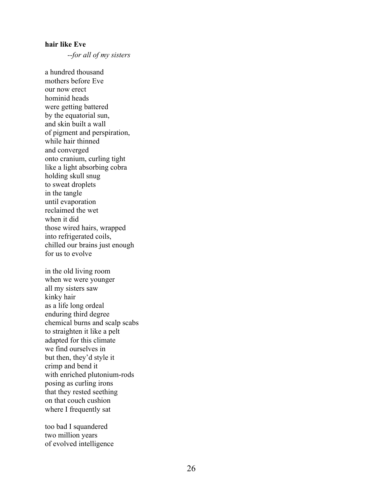#### **hair like Eve**

*--for all of my sisters*

a hundred thousand mothers before Eve our now erect hominid heads were getting battered by the equatorial sun, and skin built a wall of pigment and perspiration, while hair thinned and converged onto cranium, curling tight like a light absorbing cobra holding skull snug to sweat droplets in the tangle until evaporation reclaimed the wet when it did those wired hairs, wrapped into refrigerated coils, chilled our brains just enough for us to evolve

in the old living room when we were younger all my sisters saw kinky hair as a life long ordeal enduring third degree chemical burns and scalp scabs to straighten it like a pelt adapted for this climate we find ourselves in but then, they'd style it crimp and bend it with enriched plutonium-rods posing as curling irons that they rested seething on that couch cushion where I frequently sat

too bad I squandered two million years of evolved intelligence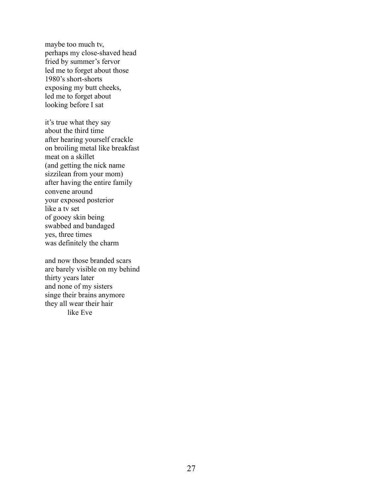maybe too much tv, perhaps my close-shaved head fried by summer's fervor led me to forget about those 1980's short-shorts exposing my butt cheeks, led me to forget about looking before I sat

it's true what they say about the third time after hearing yourself crackle on broiling metal like breakfast meat on a skillet (and getting the nick name sizzilean from your mom) after having the entire family convene around your exposed posterior like a tv set of gooey skin being swabbed and bandaged yes, three times was definitely the charm

and now those branded scars are barely visible on my behind thirty years later and none of my sisters singe their brains anymore they all wear their hair like Eve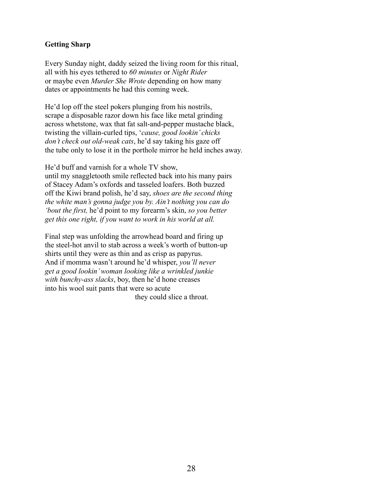## **Getting Sharp**

Every Sunday night, daddy seized the living room for this ritual, all with his eyes tethered to *60 minutes* or *Night Rider* or maybe even *Murder She Wrote* depending on how many dates or appointments he had this coming week.

He'd lop off the steel pokers plunging from his nostrils, scrape a disposable razor down his face like metal grinding across whetstone, wax that fat salt-and-pepper mustache black, twisting the villain-curled tips, '*cause, good lookin' chicks don't check out old-weak cats*, he'd say taking his gaze off the tube only to lose it in the porthole mirror he held inches away.

He'd buff and varnish for a whole TV show, until my snaggletooth smile reflected back into his many pairs of Stacey Adam's oxfords and tasseled loafers. Both buzzed off the Kiwi brand polish, he'd say, *shoes are the second thing the white man's gonna judge you by. Ain't nothing you can do 'bout the first,* he'd point to my forearm's skin, *so you better get this one right, if you want to work in his world at all.*

Final step was unfolding the arrowhead board and firing up the steel-hot anvil to stab across a week's worth of button-up shirts until they were as thin and as crisp as papyrus. And if momma wasn't around he'd whisper, *you'll never get a good lookin' woman looking like a wrinkled junkie with bunchy-ass slacks*, boy, then he'd hone creases into his wool suit pants that were so acute they could slice a throat.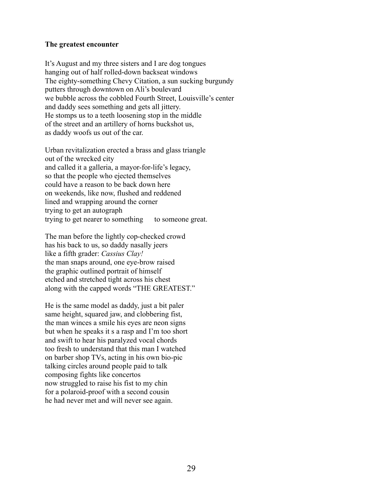#### **The greatest encounter**

It's August and my three sisters and I are dog tongues hanging out of half rolled-down backseat windows The eighty-something Chevy Citation, a sun sucking burgundy putters through downtown on Ali's boulevard we bubble across the cobbled Fourth Street, Louisville's center and daddy sees something and gets all jittery. He stomps us to a teeth loosening stop in the middle of the street and an artillery of horns buckshot us, as daddy woofs us out of the car.

Urban revitalization erected a brass and glass triangle out of the wrecked city and called it a galleria, a mayor-for-life's legacy, so that the people who ejected themselves could have a reason to be back down here on weekends, like now, flushed and reddened lined and wrapping around the corner trying to get an autograph trying to get nearer to something to some one great.

The man before the lightly cop-checked crowd has his back to us, so daddy nasally jeers like a fifth grader: *Cassius Clay!* the man snaps around, one eye-brow raised the graphic outlined portrait of himself etched and stretched tight across his chest along with the capped words "THE GREATEST."

He is the same model as daddy, just a bit paler same height, squared jaw, and clobbering fist, the man winces a smile his eyes are neon signs but when he speaks it s a rasp and I'm too short and swift to hear his paralyzed vocal chords too fresh to understand that this man I watched on barber shop TVs, acting in his own bio-pic talking circles around people paid to talk composing fights like concertos now struggled to raise his fist to my chin for a polaroid-proof with a second cousin he had never met and will never see again.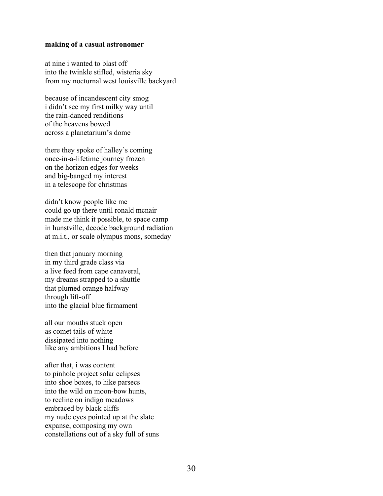#### **making of a casual astronomer**

at nine i wanted to blast off into the twinkle stifled, wisteria sky from my nocturnal west louisville backyard

because of incandescent city smog i didn't see my first milky way until the rain-danced renditions of the heavens bowed across a planetarium's dome

there they spoke of halley's coming once-in-a-lifetime journey frozen on the horizon edges for weeks and big-banged my interest in a telescope for christmas

didn't know people like me could go up there until ronald mcnair made me think it possible, to space camp in hunstville, decode background radiation at m.i.t., or scale olympus mons, someday

then that january morning in my third grade class via a live feed from cape canaveral, my dreams strapped to a shuttle that plumed orange halfway through lift-off into the glacial blue firmament

all our mouths stuck open as comet tails of white dissipated into nothing like any ambitions I had before

after that, i was content to pinhole project solar eclipses into shoe boxes, to hike parsecs into the wild on moon-bow hunts, to recline on indigo meadows embraced by black cliffs my nude eyes pointed up at the slate expanse, composing my own constellations out of a sky full of suns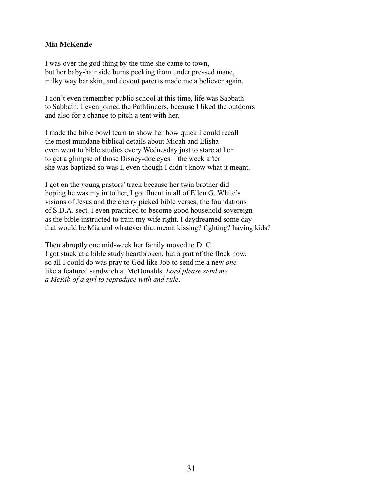# **Mia McKenzie**

I was over the god thing by the time she came to town, but her baby-hair side burns peeking from under pressed mane, milky way bar skin, and devout parents made me a believer again.

I don't even remember public school at this time, life was Sabbath to Sabbath. I even joined the Pathfinders, because I liked the outdoors and also for a chance to pitch a tent with her.

I made the bible bowl team to show her how quick I could recall the most mundane biblical details about Micah and Elisha even went to bible studies every Wednesday just to stare at her to get a glimpse of those Disney-doe eyes—the week after she was baptized so was I, even though I didn't know what it meant.

I got on the young pastors' track because her twin brother did hoping he was my in to her, I got fluent in all of Ellen G. White's visions of Jesus and the cherry picked bible verses, the foundations of S.D.A. sect. I even practiced to become good household sovereign as the bible instructed to train my wife right. I daydreamed some day that would be Mia and whatever that meant kissing? fighting? having kids?

Then abruptly one mid-week her family moved to D. C. I got stuck at a bible study heartbroken, but a part of the flock now, so all I could do was pray to God like Job to send me a new *one* like a featured sandwich at McDonalds. *Lord please send me a McRib of a girl to reproduce with and rule*.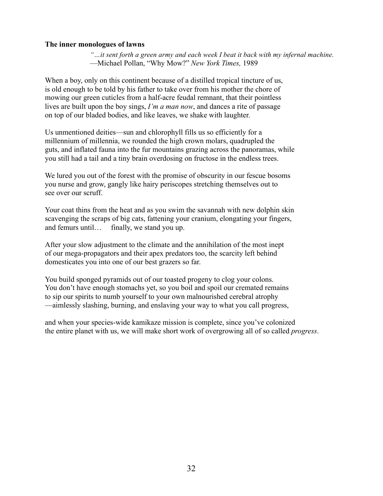## **The inner monologues of lawns**

*"…it sent forth a green army and each week I beat it back with my infernal machine.* —Michael Pollan, "Why Mow?" *New York Times,* 1989

When a boy, only on this continent because of a distilled tropical tincture of us, is old enough to be told by his father to take over from his mother the chore of mowing our green cuticles from a half-acre feudal remnant, that their pointless lives are built upon the boy sings, *I'm a man now*, and dances a rite of passage on top of our bladed bodies, and like leaves, we shake with laughter.

Us unmentioned deities—sun and chlorophyll fills us so efficiently for a millennium of millennia, we rounded the high crown molars, quadrupled the guts, and inflated fauna into the fur mountains grazing across the panoramas, while you still had a tail and a tiny brain overdosing on fructose in the endless trees.

We lured you out of the forest with the promise of obscurity in our fescue bosoms you nurse and grow, gangly like hairy periscopes stretching themselves out to see over our scruff.

Your coat thins from the heat and as you swim the savannah with new dolphin skin scavenging the scraps of big cats, fattening your cranium, elongating your fingers, and femurs until… finally, we stand you up.

After your slow adjustment to the climate and the annihilation of the most inept of our mega-propagators and their apex predators too, the scarcity left behind domesticates you into one of our best grazers so far.

You build sponged pyramids out of our toasted progeny to clog your colons. You don't have enough stomachs yet, so you boil and spoil our cremated remains to sip our spirits to numb yourself to your own malnourished cerebral atrophy —aimlessly slashing, burning, and enslaving your way to what you call progress,

and when your species-wide kamikaze mission is complete, since you've colonized the entire planet with us, we will make short work of overgrowing all of so called *progress*.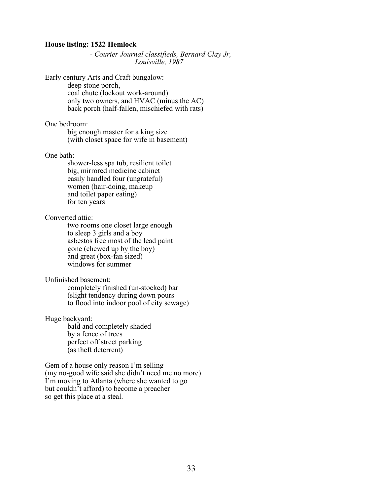#### **House listing: 1522 Hemlock**

*- Courier Journal classifieds, Bernard Clay Jr, Louisville, 1987*

Early century Arts and Craft bungalow:

deep stone porch, coal chute (lockout work-around) only two owners, and HVAC (minus the AC) back porch (half-fallen, mischiefed with rats)

One bedroom:

big enough master for a king size (with closet space for wife in basement)

One bath:

shower-less spa tub, resilient toilet big, mirrored medicine cabinet easily handled four (ungrateful) women (hair-doing, makeup and toilet paper eating) for ten years

Converted attic:

two rooms one closet large enough to sleep 3 girls and a boy asbestos free most of the lead paint gone (chewed up by the boy) and great (box-fan sized) windows for summer

Unfinished basement:

completely finished (un-stocked) bar (slight tendency during down pours to flood into indoor pool of city sewage)

Huge backyard:

bald and completely shaded by a fence of trees perfect off street parking (as theft deterrent)

Gem of a house only reason I'm selling (my no-good wife said she didn't need me no more) I'm moving to Atlanta (where she wanted to go but couldn't afford) to become a preacher so get this place at a steal.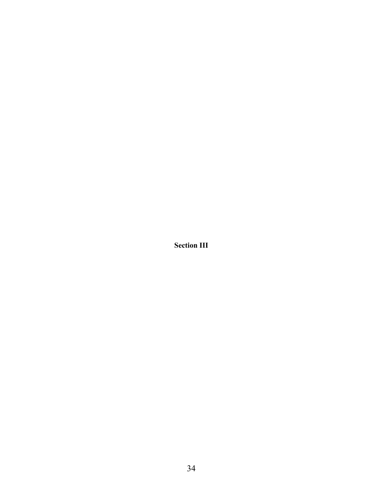**Section III**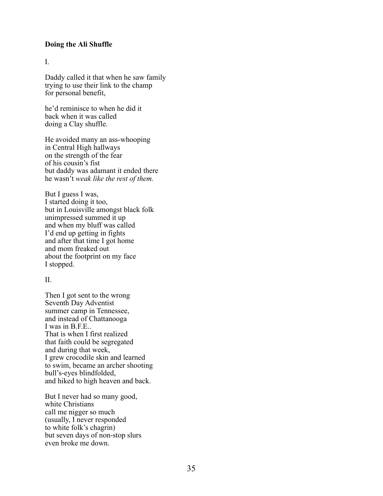### **Doing the Ali Shuffle**

I.

Daddy called it that when he saw family trying to use their link to the champ for personal benefit,

he'd reminisce to when he did it back when it was called doing a Clay shuffle.

He avoided many an ass-whooping in Central High hallways on the strength of the fear of his cousin's fist but daddy was adamant it ended there he wasn't *weak like the rest of them.* 

But I guess I was, I started doing it too, but in Louisville amongst black folk unimpressed summed it up and when my bluff was called I'd end up getting in fights and after that time I got home and mom freaked out about the footprint on my face I stopped.

### $II$ .

Then I got sent to the wrong Seventh Day Adventist summer camp in Tennessee, and instead of Chattanooga I was in B.F.E.. That is when I first realized that faith could be segregated and during that week, I grew crocodile skin and learned to swim, became an archer shooting bull's-eyes blindfolded, and hiked to high heaven and back.

But I never had so many good, white Christians call me nigger so much (usually, I never responded to white folk's chagrin) but seven days of non-stop slurs even broke me down.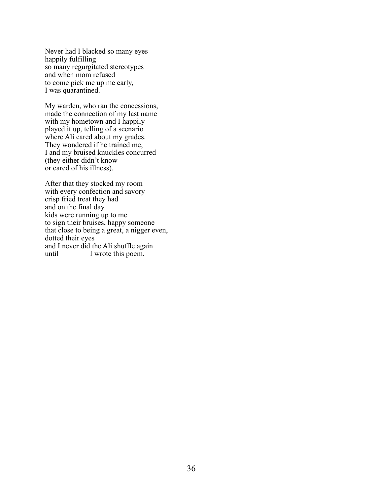Never had I blacked so many eyes happily fulfilling so many regurgitated stereotypes and when mom refused to come pick me up me early, I was quarantined.

My warden, who ran the concessions, made the connection of my last name with my hometown and I happily played it up, telling of a scenario where Ali cared about my grades. They wondered if he trained me, I and my bruised knuckles concurred (they either didn't know or cared of his illness).

After that they stocked my room with every confection and savory crisp fried treat they had and on the final day kids were running up to me to sign their bruises, happy someone that close to being a great, a nigger even, dotted their eyes and I never did the Ali shuffle again until I wrote this poem.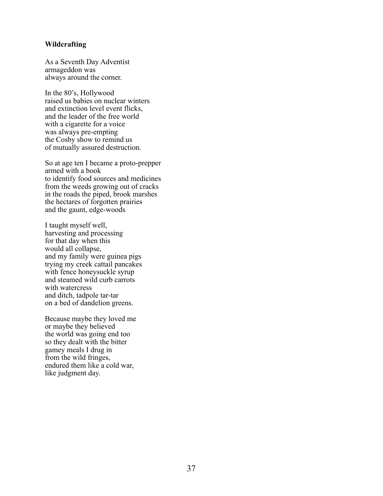### **Wildcrafting**

As a Seventh Day Adventist armageddon was always around the corner.

In the 80's, Hollywood raised us babies on nuclear winters and extinction level event flicks, and the leader of the free world with a cigarette for a voice was always pre-empting the Cosby show to remind us of mutually assured destruction.

So at age ten I became a proto-prepper armed with a book to identify food sources and medicines from the weeds growing out of cracks in the roads the piped, brook marshes the hectares of forgotten prairies and the gaunt, edge-woods

I taught myself well, harvesting and processing for that day when this would all collapse, and my family were guinea pigs trying my creek cattail pancakes with fence honeysuckle syrup and steamed wild curb carrots with watercress and ditch, tadpole tar-tar on a bed of dandelion greens.

Because maybe they loved me or maybe they believed the world was going end too so they dealt with the bitter gamey meals I drug in from the wild fringes, endured them like a cold war, like judgment day.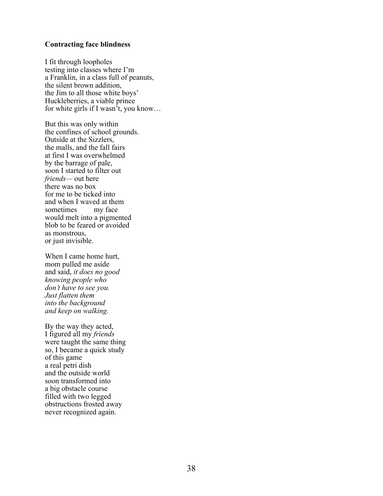#### **Contracting face blindness**

I fit through loopholes testing into classes where I'm a Franklin, in a class full of peanuts, the silent brown addition, the Jim to all those white boys' Huckleberries, a viable prince for white girls if I wasn't, you know…

But this was only within the confines of school grounds. Outside at the Sizzlers, the malls, and the fall fairs at first I was overwhelmed by the barrage of pale, soon I started to filter out *friends—* out here there was no box for me to be ticked into and when I waved at them sometimes my face would melt into a pigmented blob to be feared or avoided as monstrous, or just invisible.

When I came home hurt, mom pulled me aside and said, *it does no good knowing people who don't have to see you. Just flatten them into the background and keep on walking.*

By the way they acted, I figured all my *friends* were taught the same thing so, I became a quick study of this game a real petri dish and the outside world soon transformed into a big obstacle course filled with two legged obstructions frosted away never recognized again.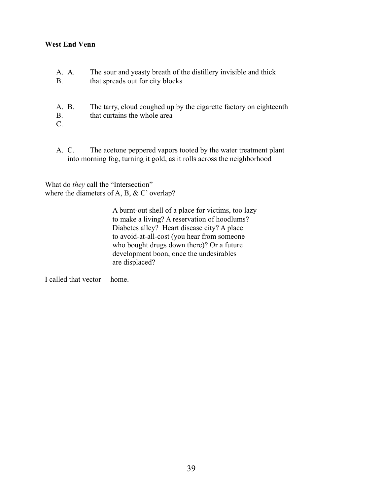# **West End Venn**

- A. A. The sour and yeasty breath of the distillery invisible and thick B. that spreads out for city blocks
- A. B. The tarry, cloud coughed up by the cigarette factory on eighteenth B. that curtains the whole area
- C.
- A. C. The acetone peppered vapors tooted by the water treatment plant into morning fog, turning it gold, as it rolls across the neighborhood

What do *they* call the "Intersection" where the diameters of A, B, & C' overlap?

> A burnt-out shell of a place for victims, too lazy to make a living? A reservation of hoodlums? Diabetes alley? Heart disease city? A place to avoid-at-all-cost (you hear from someone who bought drugs down there)? Or a future development boon, once the undesirables are displaced?

I called that vector home.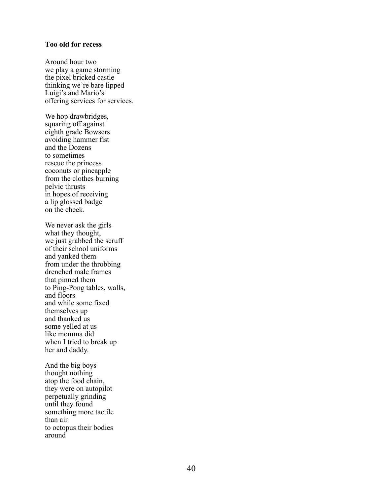#### **Too old for recess**

Around hour two we play a game storming the pixel bricked castle thinking we're bare lipped Luigi's and Mario's offering services for services.

We hop drawbridges, squaring off against eighth grade Bowsers avoiding hammer fist and the Dozens to sometimes rescue the princess coconuts or pineapple from the clothes burning pelvic thrusts in hopes of receiving a lip glossed badge on the cheek.

We never ask the girls what they thought, we just grabbed the scruff of their school uniforms and yanked them from under the throbbing drenched male frames that pinned them to Ping -Pong tables, walls, and floors and while some fixed themselves up and thanked us some yelled at us like momma did when I tried to break up her and daddy.

And the big boys thought nothing atop the food chain, they were on autopilot perpetually grinding until they found something more tactile than air to octopus their bodies around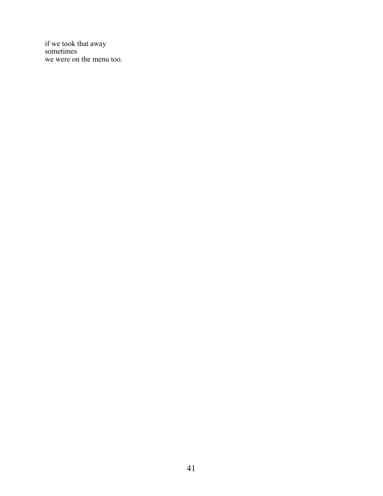if we took that away sometimes we were on the menu too.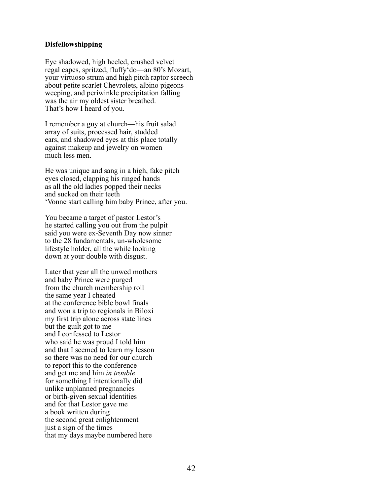## **Disfellowshipping**

Eye shadowed, high heeled, crushed velvet regal capes, spritzed, fluffy'do—an 80's Mozart, your virtuoso strum and high pitch raptor screech about petite scarlet Chevrolets, albino pigeons weeping, and periwinkle precipitation falling was the air my oldest sister breathed. That's how I heard of you.

I remember a guy at church—his fruit salad array of suits, processed hair, studded ears, and shadowed eyes at this place totally against makeup and jewelry on women much less men.

He was unique and sang in a high, fake pitch eyes closed, clapping his ringed hands as all the old ladies popped their necks and sucked on their teeth 'Vonne start calling him baby Prince, after you.

You became a target of pastor Lestor's he started calling you out from the pulpit said you were ex-Seventh Day now sinner to the 28 fundamentals, un-wholesome lifestyle holder, all the while looking down at your double with disgust.

Later that year all the unwed mothers and baby Prince were purged from the church membership roll the same year I cheated at the conference bible bowl finals and won a trip to regionals in Biloxi my first trip alone across state lines but the guilt got to me and I confessed to Lestor who said he was proud I told him and that I seemed to learn my lesson so there was no need for our church to report this to the conference and get me and him *in trouble* for something I intentionally did unlike unplanned pregnancies or birth-given sexual identities and for that Lestor gave me a book written during the second great enlightenment just a sign of the times that my days maybe numbered here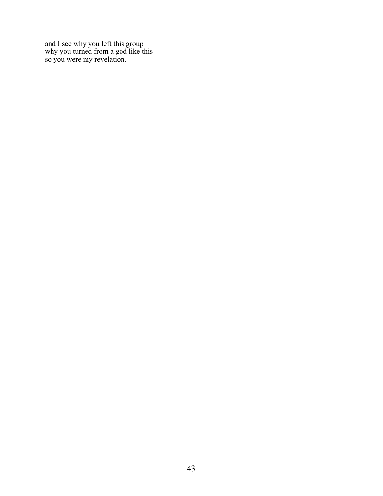and I see why you left this group why you turned from a god like this so you were my revelation.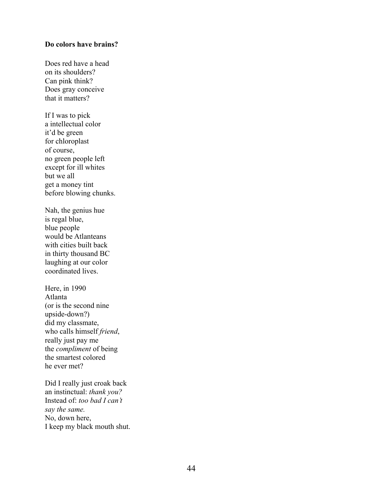## **Do colors have brains?**

Does red have a head on its shoulders? Can pink think? Does gray conceive that it matters?

If I was to pick a intellectual color it'd be green for chloroplast of course, no green people left except for ill whites but we all get a money tint before blowing chunks.

Nah, the genius hue is regal blue, blue people would be Atlanteans with cities built back in thirty thousand BC laughing at our color coordinated lives.

Here, in 1990 Atlanta (or is the second nine upside-down?) did my classmate, who calls himself *friend*, really just pay me the *compliment* of being the smartest colored he ever met?

Did I really just croak back an instinctual: *thank you?* Instead of: *too bad I can't say the same.* No, down here, I keep my black mouth shut.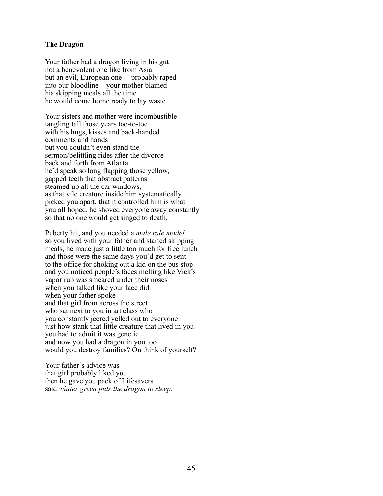### **The Dragon**

Your father had a dragon living in his gut not a benevolent one like from Asia but an evil, European one— probably raped into our bloodline—your mother blamed his skipping meals all the time he would come home ready to lay waste.

Your sisters and mother were incombustible tangling tall those years toe-to-toe with his hugs, kisses and back-handed comments and hands but you couldn't even stand the sermon/belittling rides after the divorce back and forth from Atlanta he'd speak so long flapping those yellow, gapped teeth that abstract patterns steamed up all the car windows, as that vile creature inside him systematically picked you apart, that it controlled him is what you all hoped, he shoved everyone away constantly so that no one would get singed to death.

Puberty hit, and you needed a *male role model* so you lived with your father and started skipping meals, he made just a little too much for free lunch and those were the same days you'd get to sent to the office for choking out a kid on the bus stop and you noticed people's faces melting like Vick's vapor rub was smeared under their noses when you talked like your face did when your father spoke and that girl from across the street who sat next to you in art class who you constantly jeered yelled out to everyone just how stank that little creature that lived in you you had to admit it was genetic and now you had a dragon in you too would you destroy families? On think of yourself?

Your father's advice was that girl probably liked you then he gave you pack of Lifesavers said *winter green puts the dragon to sleep.*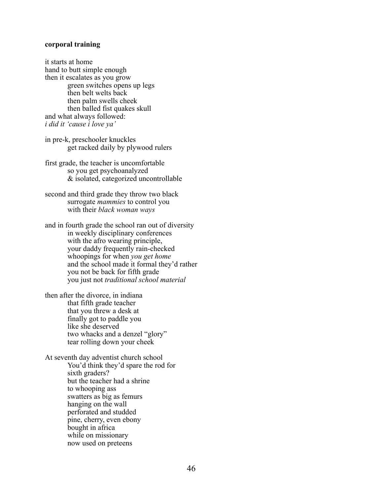### **corporal training**

it starts at home hand to butt simple enough then it escalates as you grow green switches opens up legs then belt welts back then palm swells cheek then balled fist quakes skull and what always followed: *i did it 'cause i love ya'*

in pre-k, preschooler knuckles get racked daily by plywood rulers

first grade, the teacher is uncomfortable so you get psychoanalyzed & isolated, categorized uncontrollable

second and third grade they throw two black surrogate *mammies* to control you with their *black woman ways*

and in fourth grade the school ran out of diversity in weekly disciplinary conferences with the afro wearing principle, your daddy frequently rain-checked whoopings for when *you get home* and the school made it formal they'd rather you not be back for fifth grade you just not *traditional school material*

then after the divorce, in indiana that fifth grade teacher that you threw a desk at finally got to paddle you like she deserved two whacks and a denzel "glory" tear rolling down your cheek

At seventh day adventist church school You'd think they'd spare the rod for sixth graders? but the teacher had a shrine to whooping ass swatters as big as femurs hanging on the wall perforated and studded pine, cherry, even ebony bought in africa while on missionary now used on preteens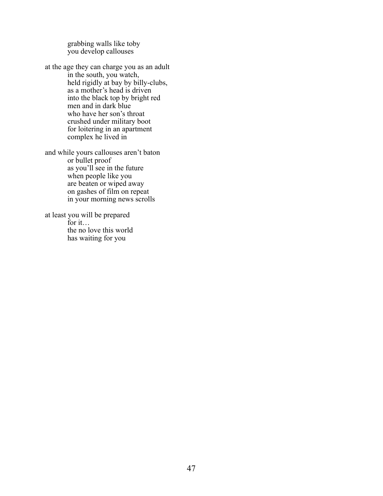grabbing walls like toby you develop callouses

at the age they can charge you as an adult in the south, you watch, held rigidly at bay by billy-clubs, as a mother's head is driven into the black top by bright red men and in dark blue who have her son's throat crushed under military boot for loitering in an apartment complex he lived in

and while yours callouses aren't baton or bullet proof as you'll see in the future when people like you are beaten or wiped away on gashes of film on repeat in your morning news scrolls

at least you will be prepared for it… the no love this world has waiting for you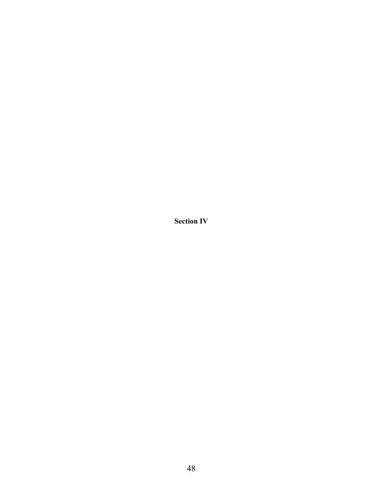**Section IV**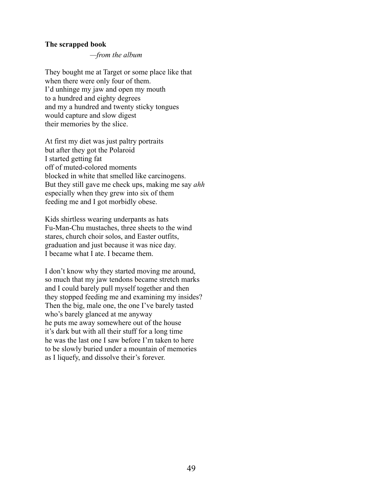### **The scrapped book**

*—from the album*

They bought me at Target or some place like that when there were only four of them. I'd unhinge my jaw and open my mouth to a hundred and eighty degrees and my a hundred and twenty sticky tongues would capture and slow digest their memories by the slice.

At first my diet was just paltry portraits but after they got the Polaroid I started getting fat off of muted-colored moments blocked in white that smelled like carcinogens. But they still gave me check ups, making me say *ahh* especially when they grew into six of them feeding me and I got morbidly obese.

Kids shirtless wearing underpants as hats Fu-Man-Chu mustaches, three sheets to the wind stares, church choir solos, and Easter outfits, graduation and just because it was nice day. I became what I ate. I became them.

I don't know why they started moving me around, so much that my jaw tendons became stretch marks and I could barely pull myself together and then they stopped feeding me and examining my insides? Then the big, male one, the one I've barely tasted who's barely glanced at me anyway he puts me away somewhere out of the house it's dark but with all their stuff for a long time he was the last one I saw before I'm taken to here to be slowly buried under a mountain of memories as I liquefy, and dissolve their's forever.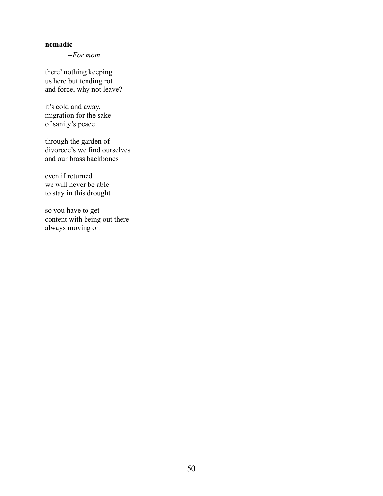## **nomadic**

--*For mom*

there' nothing keeping us here but tending rot and force, why not leave?

it's cold and away, migration for the sake of sanity's peace

through the garden of divorcee's we find ourselves and our brass backbones

even if returned we will never be able to stay in this drought

so you have to get content with being out there always moving on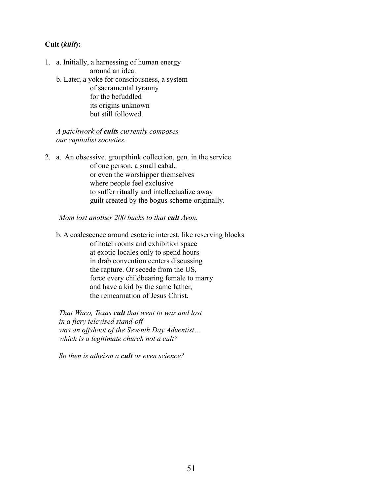# **Cult (***kült***):**

- 1. a. Initially, a harnessing of human energy around an idea.
	- b. Later, a yoke for consciousness, a system of sacramental tyranny for the befuddled its origins unknown but still followed.

# *A patchwork of cults currently composes our capitalist societies.*

2. a. An obsessive, groupthink collection, gen. in the service of one person, a small cabal, or even the worshipper themselves where people feel exclusive to suffer ritually and intellectualize away guilt created by the bogus scheme originally.

*Mom lost another 200 bucks to that cult Avon.*

b. A coalescence around esoteric interest, like reserving blocks of hotel rooms and exhibition space at exotic locales only to spend hours in drab convention centers discussing the rapture. Or secede from the US, force every childbearing female to marry and have a kid by the same father, the reincarnation of Jesus Christ.

*That Waco, Texas cult that went to war and lost in a fiery televised stand-off was an offshoot of the Seventh Day Adventist… which is a legitimate church not a cult?*

*So then is atheism a cult or even science?*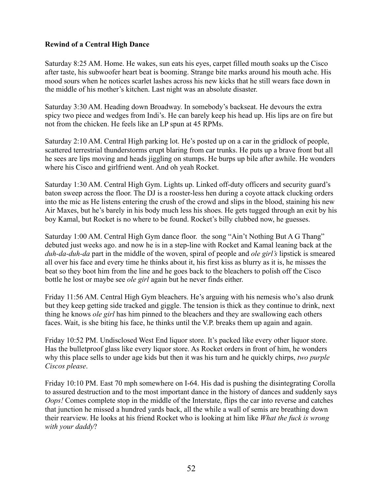# **Rewind of a Central High Dance**

Saturday 8:25 AM. Home. He wakes, sun eats his eyes, carpet filled mouth soaks up the Cisco after taste, his subwoofer heart beat is booming. Strange bite marks around his mouth ache. His mood sours when he notices scarlet lashes across his new kicks that he still wears face down in the middle of his mother's kitchen. Last night was an absolute disaster.

Saturday 3:30 AM. Heading down Broadway. In somebody's backseat. He devours the extra spicy two piece and wedges from Indi's. He can barely keep his head up. His lips are on fire but not from the chicken. He feels like an LP spun at 45 RPMs.

Saturday 2:10 AM. Central High parking lot. He's posted up on a car in the gridlock of people, scattered terrestrial thunderstorms erupt blaring from car trunks. He puts up a brave front but all he sees are lips moving and heads jiggling on stumps. He burps up bile after awhile. He wonders where his Cisco and girlfriend went. And oh yeah Rocket.

Saturday 1:30 AM. Central High Gym. Lights up. Linked off-duty officers and security guard's baton sweep across the floor. The DJ is a rooster-less hen during a coyote attack clucking orders into the mic as He listens entering the crush of the crowd and slips in the blood, staining his new Air Maxes, but he's barely in his body much less his shoes. He gets tugged through an exit by his boy Kamal, but Rocket is no where to be found. Rocket's billy clubbed now, he guesses.

Saturday 1:00 AM. Central High Gym dance floor. the song "Ain't Nothing But A G Thang" debuted just weeks ago. and now he is in a step-line with Rocket and Kamal leaning back at the *duh-da-duh-da* part in the middle of the woven, spiral of people and *ole girl's* lipstick is smeared all over his face and every time he thinks about it, his first kiss as blurry as it is, he misses the beat so they boot him from the line and he goes back to the bleachers to polish off the Cisco bottle he lost or maybe see *ole girl* again but he never finds either.

Friday 11:56 AM. Central High Gym bleachers. He's arguing with his nemesis who's also drunk but they keep getting side tracked and giggle. The tension is thick as they continue to drink, next thing he knows *ole girl* has him pinned to the bleachers and they are swallowing each others faces. Wait, is she biting his face, he thinks until the V.P. breaks them up again and again.

Friday 10:52 PM. Undisclosed West End liquor store. It's packed like every other liquor store. Has the bulletproof glass like every liquor store. As Rocket orders in front of him, he wonders why this place sells to under age kids but then it was his turn and he quickly chirps, *two purple Ciscos please*.

Friday 10:10 PM. East 70 mph somewhere on I-64. His dad is pushing the disintegrating Corolla to assured destruction and to the most important dance in the history of dances and suddenly says *Oops!* Comes complete stop in the middle of the Interstate, flips the car into reverse and catches that junction he missed a hundred yards back, all the while a wall of semis are breathing down their rearview. He looks at his friend Rocket who is looking at him like *What the fuck is wrong with your daddy*?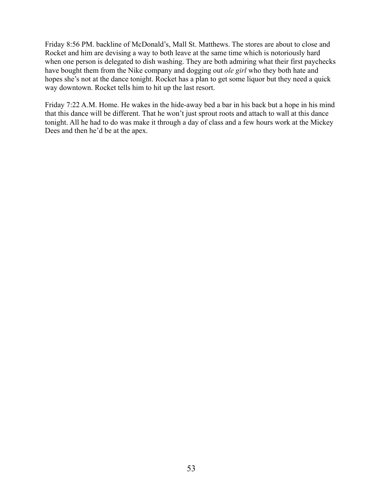Friday 8:56 PM. backline of McDonald's, Mall St. Matthews. The stores are about to close and Rocket and him are devising a way to both leave at the same time which is notoriously hard when one person is delegated to dish washing. They are both admiring what their first paychecks have bought them from the Nike company and dogging out *ole girl* who they both hate and hopes she's not at the dance tonight. Rocket has a plan to get some liquor but they need a quick way downtown. Rocket tells him to hit up the last resort.

Friday 7:22 A.M. Home. He wakes in the hide-away bed a bar in his back but a hope in his mind that this dance will be different. That he won't just sprout roots and attach to wall at this dance tonight. All he had to do was make it through a day of class and a few hours work at the Mickey Dees and then he'd be at the apex.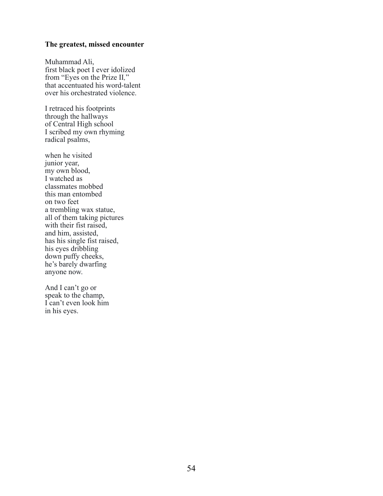### **The greatest, missed encounter**

Muhammad Ali, first black poet I ever idolized from "Eyes on the Prize II*,*" that accentuated his word-talent over his orchestrated violence.

I retraced his footprints through the hallways of Central High school I scribed my own rhyming radical psalms,

when he visited junior year, my own blood, I watched as classmates mobbed this man entombed on two feet a trembling wax statue, all of them taking pictures with their fist raised, and him, assisted, has his single fist raised, his eyes dribbling down puffy cheeks, he's barely dwarfing anyone now.

And I can't go or speak to the champ, I can't even look him in his eyes.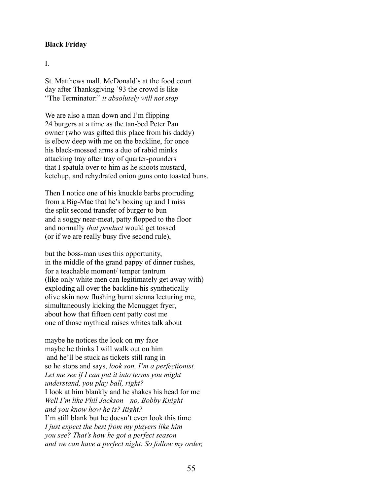# **Black Friday**

# I.

St. Matthews mall. McDonald's at the food court day after Thanksgiving '93 the crowd is like "The Terminator:" *it absolutely will not stop*

We are also a man down and I'm flipping 24 burgers at a time as the tan-bed Peter Pan owner (who was gifted this place from his daddy) is elbow deep with me on the backline, for once his black-mossed arms a duo of rabid minks attacking tray after tray of quarter-pounders that I spatula over to him as he shoots mustard, ketchup, and rehydrated onion guns onto toasted buns.

Then I notice one of his knuckle barbs protruding from a Big-Mac that he's boxing up and I miss the split second transfer of burger to bun and a soggy near-meat, patty flopped to the floor and normally *that product* would get tossed (or if we are really busy five second rule),

but the boss-man uses this opportunity, in the middle of the grand pappy of dinner rushes, for a teachable moment/ temper tantrum (like only white men can legitimately get away with) exploding all over the backline his synthetically olive skin now flushing burnt sienna lecturing me, simultaneously kicking the Mcnugget fryer, about how that fifteen cent patty cost me one of those mythical raises whites talk about

maybe he notices the look on my face maybe he thinks I will walk out on him and he'll be stuck as tickets still rang in so he stops and says, *look son, I'm a perfectionist. Let me see if I can put it into terms you might understand, you play ball, right?* I look at him blankly and he shakes his head for me *Well I'm like Phil Jackson—no, Bobby Knight and you know how he is? Right?* I'm still blank but he doesn't even look this time *I just expect the best from my players like him you see? That's how he got a perfect season and we can have a perfect night. So follow my order,*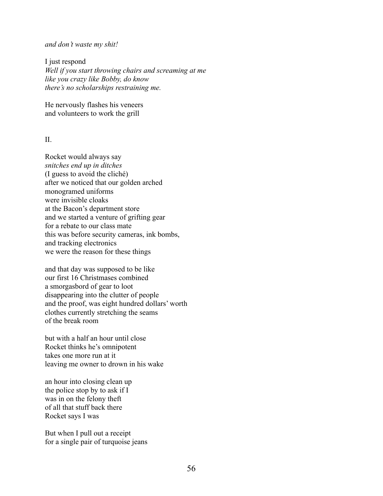#### *and don't waste my shit!*

I just respond *Well if you start throwing chairs and screaming at me like you crazy like Bobby, do know there's no scholarships restraining me.*

He nervously flashes his veneers and volunteers to work the grill

 $II$ .

Rocket would always say *snitches end up in ditches*  (I guess to avoid the cliché) after we noticed that our golden arched monogramed uniforms were invisible cloaks at the Bacon's department store and we started a venture of grifting gear for a rebate to our class mate this was before security cameras, ink bombs, and tracking electronics we were the reason for these things

and that day was supposed to be like our first 16 Christmases combined a smorgasbord of gear to loot disappearing into the clutter of people and the proof, was eight hundred dollars' worth clothes currently stretching the seams of the break room

but with a half an hour until close Rocket thinks he's omnipotent takes one more run at it leaving me owner to drown in his wake

an hour into closing clean up the police stop by to ask if I was in on the felony theft of all that stuff back there Rocket says I was

But when I pull out a receipt for a single pair of turquoise jeans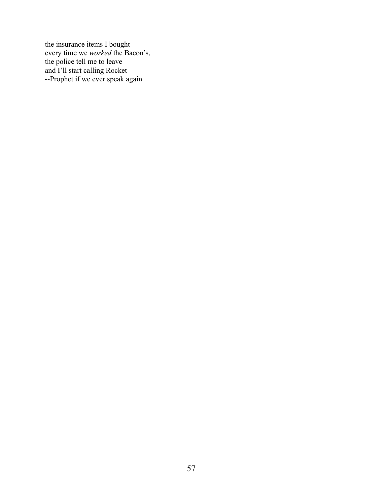the insurance items I bought every time we *worked* the Bacon's, the police tell me to leave and I'll start calling Rocket --Prophet if we ever speak again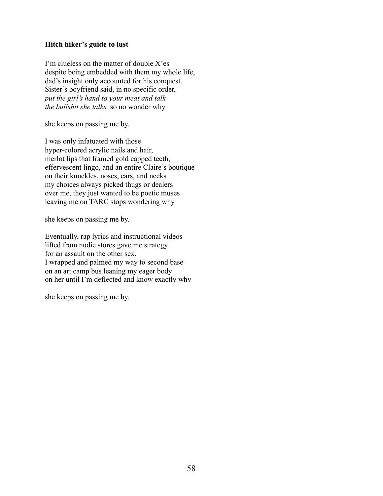# **Hitch hiker's guide to lust**

I'm clueless on the matter of double X'es despite being embedded with them my whole life, dad's insight only accounted for his conquest. Sister's boyfriend said, in no specific order, *put the girl's hand to your meat and talk the bullshit she talks,* so no wonder why

she keeps on passing me by.

I was only infatuated with those hyper-colored acrylic nails and hair, merlot lips that framed gold capped teeth, effervescent lingo, and an entire Claire's boutique on their knuckles, noses, ears, and necks my choices always picked thugs or dealers over me, they just wanted to be poetic muses leaving me on TARC stops wondering why

she keeps on passing me by.

Eventually, rap lyrics and instructional videos lifted from nudie stores gave me strategy for an assault on the other sex. I wrapped and palmed my way to second base on an art camp bus leaning my eager body on her until I'm deflected and know exactly why

she keeps on passing me by.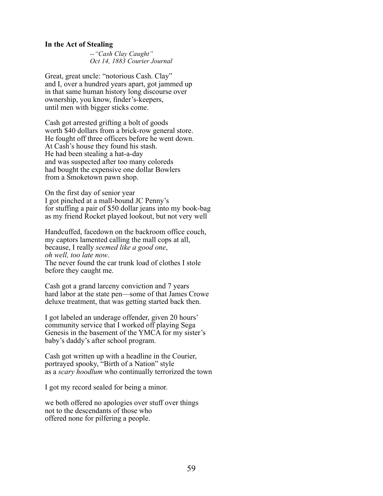#### **In the Act of Stealing**

*--"Cash Clay Caught" Oct 14, 1883 Courier Journal* 

Great, great uncle: "notorious Cash. Clay" and I, over a hundred years apart, got jammed up in that same human history long discourse over ownership, you know, finder's-keepers, until men with bigger sticks come.

Cash got arrested grifting a bolt of goods worth \$40 dollars from a brick-row general store. He fought off three officers before he went down. At Cash's house they found his stash. He had been stealing a hat-a-day and was suspected after too many coloreds had bought the expensive one dollar Bowlers from a Smoketown pawn shop.

On the first day of senior year I got pinched at a mall-bound JC Penny's for stuffing a pair of \$50 dollar jeans into my book-bag as my friend Rocket played lookout, but not very well

Handcuffed, facedown on the backroom office couch, my captors lamented calling the mall cops at all, because, I really *seemed like a good one*, *oh well, too late now*.

The never found the car trunk load of clothes I stole before they caught me.

Cash got a grand larceny conviction and 7 years hard labor at the state pen—some of that James Crowe deluxe treatment, that was getting started back then.

I got labeled an underage offender, given 20 hours' community service that I worked off playing Sega Genesis in the basement of the YMCA for my sister's baby's daddy's after school program.

Cash got written up with a headline in the Courier, portrayed spooky, "Birth of a Nation" style as a *scary hoodlum* who continually terrorized the town

I got my record sealed for being a minor.

we both offered no apologies over stuff over things not to the descendants of those who offered none for pilfering a people.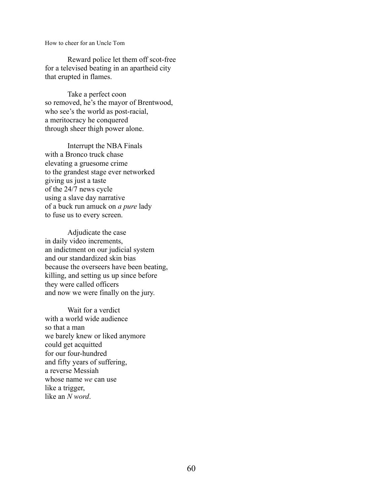How to cheer for an Uncle Tom

Reward police let them off scot-free for a televised beating in an apartheid city that erupted in flames.

Take a perfect coon so removed, he's the mayor of Brentwood, who see's the world as post-racial, a meritocracy he conquered through sheer thigh power alone.

Interrupt the NBA Finals with a Bronco truck chase elevating a gruesome crime to the grandest stage ever networked giving us just a taste of the 24/7 news cycle using a slave day narrative of a buck run amuck on *a pure* lady to fuse us to every screen.

Adjudicate the case in daily video increments, an indictment on our judicial system and our standardized skin bias because the overseers have been beating, killing, and setting us up since before they were called officers and now we were finally on the jury.

Wait for a verdict with a world wide audience so that a man we barely knew or liked anymore could get acquitted for our four-hundred and fifty years of suffering, a reverse Messiah whose name *we* can use like a trigger, like an *N word*.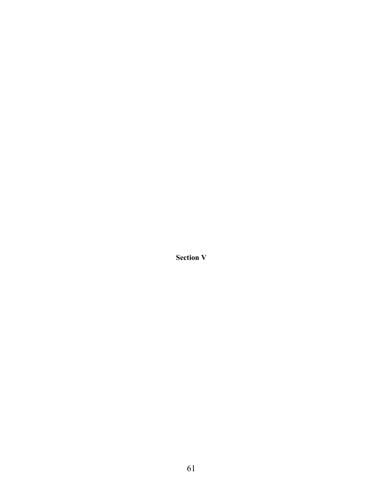**Section V**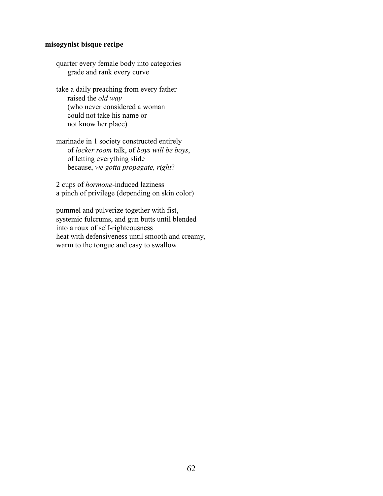# **misogynist bisque recipe**

quarter every female body into categories grade and rank every curve

take a daily preaching from every father raised the *old way* (who never considered a woman could not take his name or not know her place)

marinade in 1 society constructed entirely of *locker room* talk, of *boys will be boys*, of letting everything slide because, *we gotta propagate, right*?

2 cups of *hormone*-induced laziness a pinch of privilege (depending on skin color)

pummel and pulverize together with fist, systemic fulcrums, and gun butts until blended into a roux of self-righteousness heat with defensiveness until smooth and creamy, warm to the tongue and easy to swallow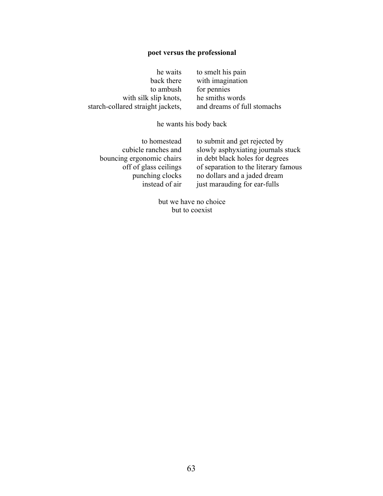# **poet versus the professional**

| he waits                          | to smelt his pain           |
|-----------------------------------|-----------------------------|
| back there                        | with imagination            |
| to ambush                         | for pennies                 |
| with silk slip knots,             | he smiths words             |
| starch-collared straight jackets, | and dreams of full stomachs |
|                                   |                             |

he wants his body back

| to homestead              |
|---------------------------|
| cubicle ranches and       |
| bouncing ergonomic chairs |
| off of glass ceilings     |
| punching clocks           |
| instead of air            |

to submit and get rejected by slowly asphyxiating journals stuck in debt black holes for degrees of separation to the literary famous no dollars and a jaded dream just marauding for ear-fulls

but we have no choice but to coexist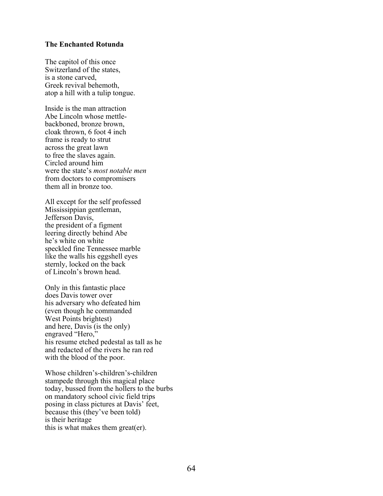#### **The Enchanted Rotunda**

The capitol of this once Switzerland of the states, is a stone carved, Greek revival behemoth, atop a hill with a tulip tongue.

Inside is the man attraction Abe Lincoln whose mettlebackboned, bronze brown, cloak thrown, 6 foot 4 inch frame is ready to strut across the great lawn to free the slaves again. Circled around him were the state's *most notable men* from doctors to compromisers them all in bronze too.

All except for the self professed Mississippian gentleman, Jefferson Davis, the president of a figment leering directly behind Abe he's white on white speckled fine Tennessee marble like the walls his eggshell eyes sternly, locked on the back of Lincoln's brown head.

Only in this fantastic place does Davis tower over his adversary who defeated him (even though he commanded West Points brightest) and here, Davis (is the only) engraved "Hero," his resume etched pedestal as tall as he and redacted of the rivers he ran red with the blood of the poor.

Whose children's-children's-children stampede through this magical place today, bussed from the hollers to the burbs on mandatory school civic field trips posing in class pictures at Davis' feet, because this (they've been told) is their heritage this is what makes them great(er).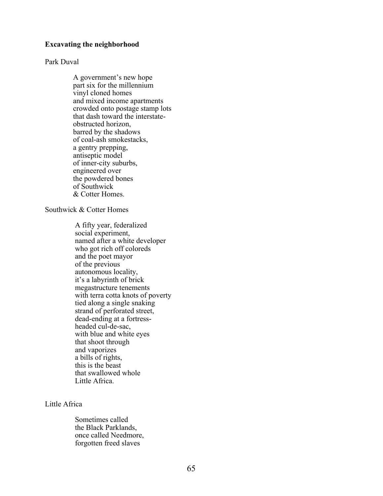#### **Excavating the neighborhood**

### Park Duval

A government's new hope part six for the millennium vinyl cloned homes and mixed income apartments crowded onto postage stamp lots that dash toward the interstateobstructed horizon, barred by the shadows of coal-ash smokestacks, a gentry prepping, antiseptic model of inner-city suburbs, engineered over the powdered bones of Southwick & Cotter Homes.

### Southwick & Cotter Homes

A fifty year, federalized social experiment, named after a white developer who got rich off coloreds and the poet mayor of the previous autonomous locality, it's a labyrinth of brick megastructure tenements with terra cotta knots of poverty tied along a single snaking strand of perforated street, dead-ending at a fortressheaded cul-de-sac, with blue and white eyes that shoot through and vaporizes a bills of rights, this is the beast that swallowed whole Little Africa.

# Little Africa

Sometimes called the Black Parklands, once called Needmore, forgotten freed slaves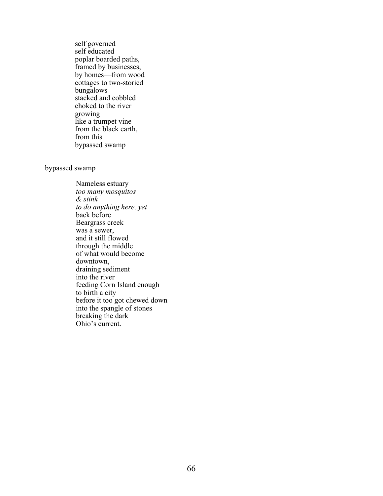self governed self educated poplar boarded paths, framed by businesses, by homes—from wood cottages to two-storied bungalows stacked and cobbled choked to the river growing like a trumpet vine from the black earth, from this bypassed swamp

#### bypassed swamp

Nameless estuary *too many mosquitos & stink to do anything here, yet*  back before Beargrass creek was a sewer, and it still flowed through the middle of what would become downtown, draining sediment into the river feeding Corn Island enough to birth a city before it too got chewed down into the spangle of stones breaking the dark Ohio's current.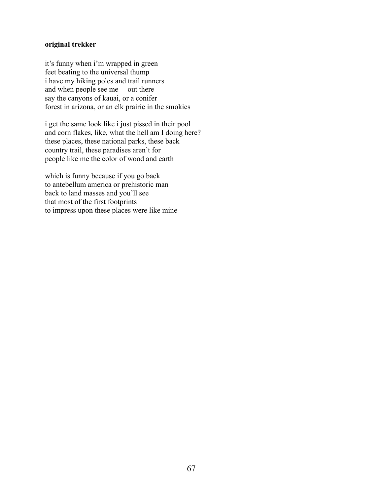# **original trekker**

it's funny when i'm wrapped in green feet beating to the universal thump i have my hiking poles and trail runners and when people see me out there say the canyons of kauai, or a conifer forest in arizona, or an elk prairie in the smokies

i get the same look like i just pissed in their pool and corn flakes, like, what the hell am I doing here? these places, these national parks, these back country trail, these paradises aren't for people like me the color of wood and earth

which is funny because if you go back to antebellum america or prehistoric man back to land masses and you'll see that most of the first footprints to impress upon these places were like mine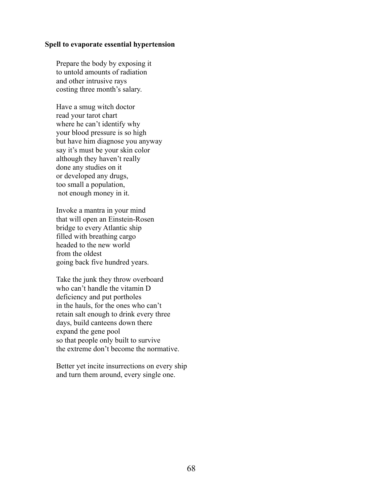## **Spell to evaporate essential hypertension**

Prepare the body by exposing it to untold amounts of radiation and other intrusive rays costing three month's salary.

Have a smug witch doctor read your tarot chart where he can't identify why your blood pressure is so high but have him diagnose you anyway say it's must be your skin color although they haven't really done any studies on it or developed any drugs, too small a population, not enough money in it.

Invoke a mantra in your mind that will open an Einstein-Rosen bridge to every Atlantic ship filled with breathing cargo headed to the new world from the oldest going back five hundred years.

Take the junk they throw overboard who can't handle the vitamin D deficiency and put portholes in the hauls, for the ones who can't retain salt enough to drink every three days, build canteens down there expand the gene pool so that people only built to survive the extreme don't become the normative.

Better yet incite insurrections on every ship and turn them around, every single one.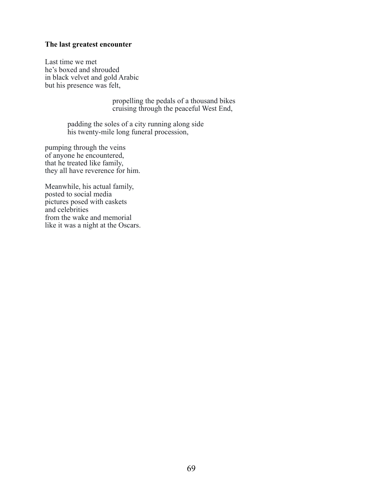# **The last greatest encounter**

Last time we met he's boxed and shrouded in black velvet and gold Arabic but his presence was felt,

> propelling the pedals of a thousand bikes cruising through the peaceful West End,

padding the soles of a city running along side his twenty-mile long funeral procession,

pumping through the veins of anyone he encountered, that he treated like family, they all have reverence for him.

Meanwhile, his actual family, posted to social media pictures posed with caskets and celebrities from the wake and memorial like it was a night at the Oscars.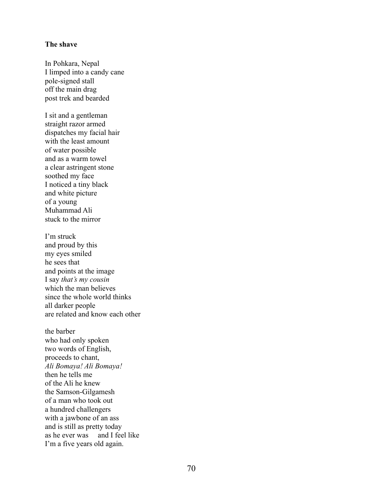# **The shave**

In Pohkara, Nepal I limped into a candy cane pole-signed stall off the main drag post trek and bearded

I sit and a gentleman straight razor armed dispatches my facial hair with the least amount of water possible and as a warm towel a clear astringent stone soothed my face I noticed a tiny black and white picture of a young Muhammad Ali stuck to the mirror

I'm struck and proud by this my eyes smiled he sees that and points at the image I say *that's my cousin* which the man believes since the whole world thinks all darker people are related and know each other

the barber who had only spoken two words of English, proceeds to chant, *Ali Bomaya! Ali Bomaya!* then he tells me of the Ali he knew the Samson-Gilgamesh of a man who took out a hundred challengers with a jawbone of an ass and is still as pretty today as he ever was and I feel like I'm a five years old again.